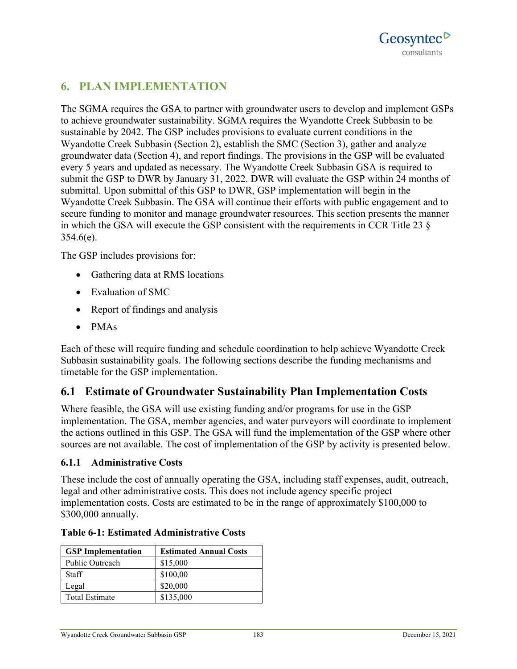## **6. PLAN IMPLEMENTATION**

The SGMA requires the GSA to partner with groundwater users to develop and implement GSPs to achieve groundwater sustainability. SGMA requires the Wyandotte Creek Subbasin to be sustainable by 2042. The GSP includes provisions to evaluate current conditions in the Wyandotte Creek Subbasin (Section 2), establish the SMC (Section 3), gather and analyze groundwater data (Section 4), and report findings. The provisions in the GSP will be evaluated every 5 years and updated as necessary. The Wyandotte Creek Subbasin GSA is required to submit the GSP to DWR by January 31, 2022. DWR will evaluate the GSP within 24 months of submittal. Upon submittal of this GSP to DWR, GSP implementation will begin in the Wyandotte Creek Subbasin. The GSA will continue their efforts with public engagement and to secure funding to monitor and manage groundwater resources. This section presents the manner in which the GSA will execute the GSP consistent with the requirements in CCR Title 23 §  $354.6(e)$ .

The GSP includes provisions for:

- Gathering data at RMS locations
- Evaluation of SMC
- Report of findings and analysis
- PMAs

Each of these will require funding and schedule coordination to help achieve Wyandotte Creek Subbasin sustainability goals. The following sections describe the funding mechanisms and timetable for the GSP implementation.

## **6.1 Estimate of Groundwater Sustainability Plan Implementation Costs**

Where feasible, the GSA will use existing funding and/or programs for use in the GSP implementation. The GSA, member agencies, and water purveyors will coordinate to implement the actions outlined in this GSP. The GSA will fund the implementation of the GSP where other sources are not available. The cost of implementation of the GSP by activity is presented below.

### **6.1.1 Administrative Costs**

These include the cost of annually operating the GSA, including staff expenses, audit, outreach, legal and other administrative costs. This does not include agency specific project implementation costs. Costs are estimated to be in the range of approximately \$100,000 to \$300,000 annually.

| <b>GSP</b> Implementation | <b>Estimated Annual Costs</b> |
|---------------------------|-------------------------------|
| Public Outreach           | \$15,000                      |
| <b>Staff</b>              | \$100,00                      |
| Legal                     | \$20,000                      |
| Total Estimate            | \$135,000                     |

#### **Table 6-1: Estimated Administrative Costs**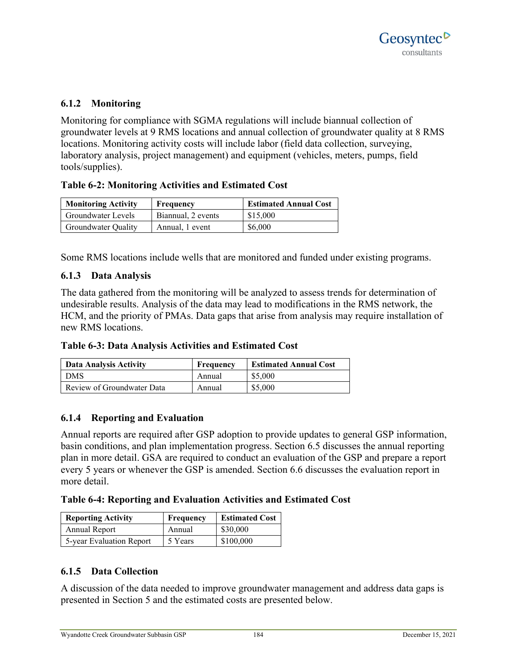### **6.1.2 Monitoring**

Monitoring for compliance with SGMA regulations will include biannual collection of groundwater levels at 9 RMS locations and annual collection of groundwater quality at 8 RMS locations. Monitoring activity costs will include labor (field data collection, surveying, laboratory analysis, project management) and equipment (vehicles, meters, pumps, field tools/supplies).

### **Table 6-2: Monitoring Activities and Estimated Cost**

| <b>Monitoring Activity</b> | Frequency          | <b>Estimated Annual Cost</b> |
|----------------------------|--------------------|------------------------------|
| Groundwater Levels         | Biannual, 2 events | \$15,000                     |
| <b>Groundwater Quality</b> | Annual, 1 event    | \$6,000                      |

Some RMS locations include wells that are monitored and funded under existing programs.

### **6.1.3 Data Analysis**

The data gathered from the monitoring will be analyzed to assess trends for determination of undesirable results. Analysis of the data may lead to modifications in the RMS network, the HCM, and the priority of PMAs. Data gaps that arise from analysis may require installation of new RMS locations.

**Table 6-3: Data Analysis Activities and Estimated Cost**

| Data Analysis Activity     | Frequency | <b>Estimated Annual Cost</b> |
|----------------------------|-----------|------------------------------|
| <b>DMS</b>                 | Annual    | \$5,000                      |
| Review of Groundwater Data | Annual    | \$5,000                      |

### **6.1.4 Reporting and Evaluation**

Annual reports are required after GSP adoption to provide updates to general GSP information, basin conditions, and plan implementation progress. Section 6.5 discusses the annual reporting plan in more detail. GSA are required to conduct an evaluation of the GSP and prepare a report every 5 years or whenever the GSP is amended. Section 6.6 discusses the evaluation report in more detail.

**Table 6-4: Reporting and Evaluation Activities and Estimated Cost**

| <b>Reporting Activity</b> | <b>Frequency</b> | <b>Estimated Cost</b> |  |  |  |  |  |  |
|---------------------------|------------------|-----------------------|--|--|--|--|--|--|
| Annual Report             | Annual           | \$30,000              |  |  |  |  |  |  |
| 5-year Evaluation Report  | 5 Years          | \$100,000             |  |  |  |  |  |  |

### **6.1.5 Data Collection**

A discussion of the data needed to improve groundwater management and address data gaps is presented in Section 5 and the estimated costs are presented below.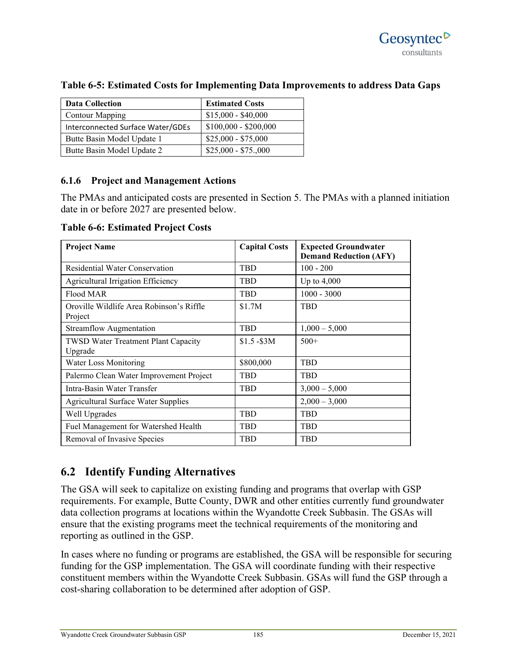| <b>Data Collection</b>            | <b>Estimated Costs</b> |
|-----------------------------------|------------------------|
| <b>Contour Mapping</b>            | $$15,000 - $40,000$    |
| Interconnected Surface Water/GDEs | $$100,000 - $200,000$  |
| Butte Basin Model Update 1        | $$25,000 - $75,000$    |
| Butte Basin Model Update 2        | $$25,000 - $75,000$    |

### **Table 6-5: Estimated Costs for Implementing Data Improvements to address Data Gaps**

### **6.1.6 Project and Management Actions**

The PMAs and anticipated costs are presented in Section 5. The PMAs with a planned initiation date in or before 2027 are presented below.

**Table 6-6: Estimated Project Costs**

| <b>Project Name</b>                                   | <b>Capital Costs</b> | <b>Expected Groundwater</b><br><b>Demand Reduction (AFY)</b> |
|-------------------------------------------------------|----------------------|--------------------------------------------------------------|
| <b>Residential Water Conservation</b>                 | <b>TBD</b>           | $100 - 200$                                                  |
| Agricultural Irrigation Efficiency                    | <b>TBD</b>           | Up to $4,000$                                                |
| Flood MAR                                             | <b>TBD</b>           | $1000 - 3000$                                                |
| Oroville Wildlife Area Robinson's Riffle<br>Project   | \$1.7M               | <b>TBD</b>                                                   |
| <b>Streamflow Augmentation</b>                        | <b>TBD</b>           | $1,000 - 5,000$                                              |
| <b>TWSD Water Treatment Plant Capacity</b><br>Upgrade | $$1.5 - $3M$         | $500+$                                                       |
| Water Loss Monitoring                                 | \$800,000            | TBD                                                          |
| Palermo Clean Water Improvement Project               | <b>TBD</b>           | <b>TBD</b>                                                   |
| Intra-Basin Water Transfer                            | <b>TBD</b>           | $3,000 - 5,000$                                              |
| <b>Agricultural Surface Water Supplies</b>            |                      | $2,000 - 3,000$                                              |
| Well Upgrades                                         | <b>TBD</b>           | <b>TBD</b>                                                   |
| Fuel Management for Watershed Health                  | <b>TBD</b>           | <b>TBD</b>                                                   |
| Removal of Invasive Species                           | <b>TBD</b>           | <b>TBD</b>                                                   |

# **6.2 Identify Funding Alternatives**

The GSA will seek to capitalize on existing funding and programs that overlap with GSP requirements. For example, Butte County, DWR and other entities currently fund groundwater data collection programs at locations within the Wyandotte Creek Subbasin. The GSAs will ensure that the existing programs meet the technical requirements of the monitoring and reporting as outlined in the GSP.

In cases where no funding or programs are established, the GSA will be responsible for securing funding for the GSP implementation. The GSA will coordinate funding with their respective constituent members within the Wyandotte Creek Subbasin. GSAs will fund the GSP through a cost-sharing collaboration to be determined after adoption of GSP.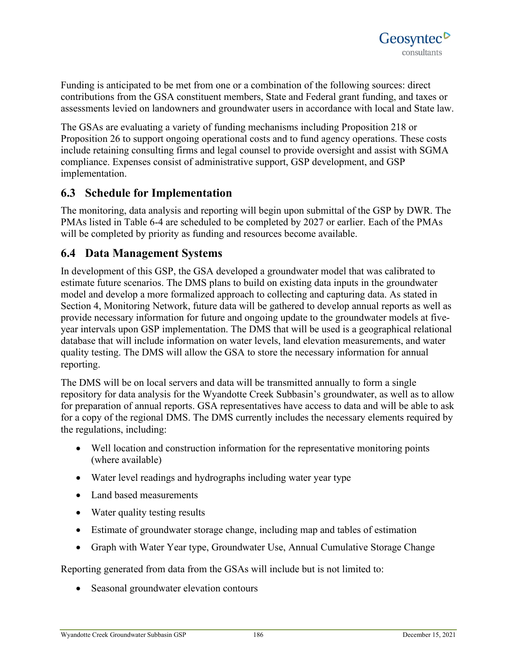Funding is anticipated to be met from one or a combination of the following sources: direct contributions from the GSA constituent members, State and Federal grant funding, and taxes or assessments levied on landowners and groundwater users in accordance with local and State law.

The GSAs are evaluating a variety of funding mechanisms including Proposition 218 or Proposition 26 to support ongoing operational costs and to fund agency operations. These costs include retaining consulting firms and legal counsel to provide oversight and assist with SGMA compliance. Expenses consist of administrative support, GSP development, and GSP implementation.

## **6.3 Schedule for Implementation**

The monitoring, data analysis and reporting will begin upon submittal of the GSP by DWR. The PMAs listed in Table 6-4 are scheduled to be completed by 2027 or earlier. Each of the PMAs will be completed by priority as funding and resources become available.

### **6.4 Data Management Systems**

In development of this GSP, the GSA developed a groundwater model that was calibrated to estimate future scenarios. The DMS plans to build on existing data inputs in the groundwater model and develop a more formalized approach to collecting and capturing data. As stated in Section 4, Monitoring Network, future data will be gathered to develop annual reports as well as provide necessary information for future and ongoing update to the groundwater models at fiveyear intervals upon GSP implementation. The DMS that will be used is a geographical relational database that will include information on water levels, land elevation measurements, and water quality testing. The DMS will allow the GSA to store the necessary information for annual reporting.

The DMS will be on local servers and data will be transmitted annually to form a single repository for data analysis for the Wyandotte Creek Subbasin's groundwater, as well as to allow for preparation of annual reports. GSA representatives have access to data and will be able to ask for a copy of the regional DMS. The DMS currently includes the necessary elements required by the regulations, including:

- Well location and construction information for the representative monitoring points (where available)
- Water level readings and hydrographs including water year type
- Land based measurements
- Water quality testing results
- Estimate of groundwater storage change, including map and tables of estimation
- Graph with Water Year type, Groundwater Use, Annual Cumulative Storage Change

Reporting generated from data from the GSAs will include but is not limited to:

• Seasonal groundwater elevation contours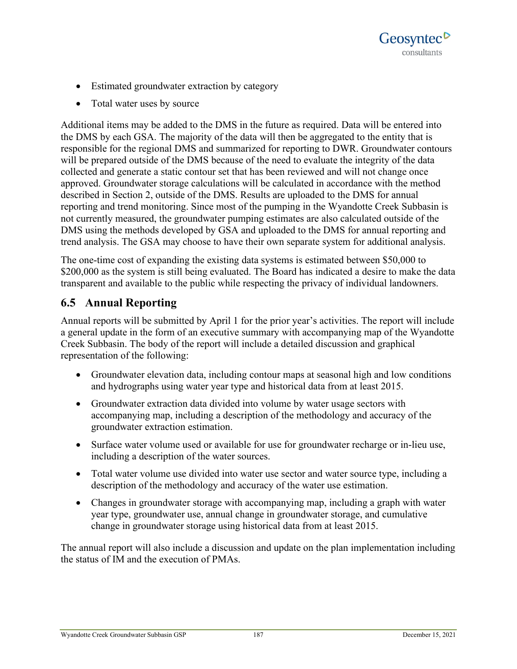

- Estimated groundwater extraction by category
- Total water uses by source

Additional items may be added to the DMS in the future as required. Data will be entered into the DMS by each GSA. The majority of the data will then be aggregated to the entity that is responsible for the regional DMS and summarized for reporting to DWR. Groundwater contours will be prepared outside of the DMS because of the need to evaluate the integrity of the data collected and generate a static contour set that has been reviewed and will not change once approved. Groundwater storage calculations will be calculated in accordance with the method described in Section 2, outside of the DMS. Results are uploaded to the DMS for annual reporting and trend monitoring. Since most of the pumping in the Wyandotte Creek Subbasin is not currently measured, the groundwater pumping estimates are also calculated outside of the DMS using the methods developed by GSA and uploaded to the DMS for annual reporting and trend analysis. The GSA may choose to have their own separate system for additional analysis.

The one-time cost of expanding the existing data systems is estimated between \$50,000 to \$200,000 as the system is still being evaluated. The Board has indicated a desire to make the data transparent and available to the public while respecting the privacy of individual landowners.

# **6.5 Annual Reporting**

Annual reports will be submitted by April 1 for the prior year's activities. The report will include a general update in the form of an executive summary with accompanying map of the Wyandotte Creek Subbasin. The body of the report will include a detailed discussion and graphical representation of the following:

- Groundwater elevation data, including contour maps at seasonal high and low conditions and hydrographs using water year type and historical data from at least 2015.
- Groundwater extraction data divided into volume by water usage sectors with accompanying map, including a description of the methodology and accuracy of the groundwater extraction estimation.
- Surface water volume used or available for use for groundwater recharge or in-lieu use, including a description of the water sources.
- Total water volume use divided into water use sector and water source type, including a description of the methodology and accuracy of the water use estimation.
- Changes in groundwater storage with accompanying map, including a graph with water year type, groundwater use, annual change in groundwater storage, and cumulative change in groundwater storage using historical data from at least 2015.

The annual report will also include a discussion and update on the plan implementation including the status of IM and the execution of PMAs.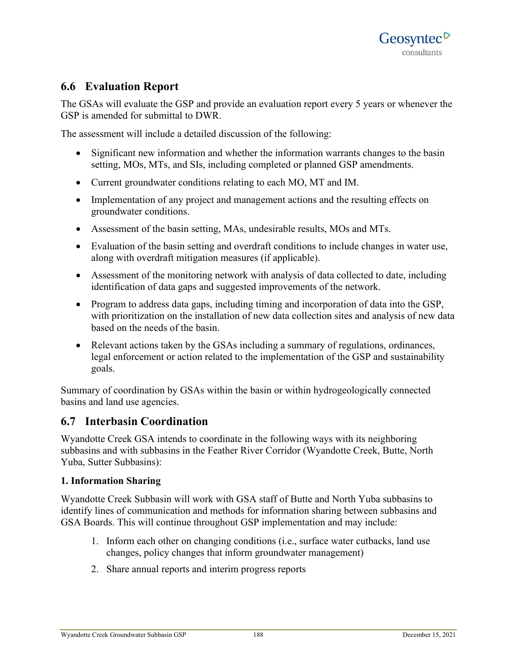## **6.6 Evaluation Report**

The GSAs will evaluate the GSP and provide an evaluation report every 5 years or whenever the GSP is amended for submittal to DWR.

The assessment will include a detailed discussion of the following:

- Significant new information and whether the information warrants changes to the basin setting, MOs, MTs, and SIs, including completed or planned GSP amendments.
- Current groundwater conditions relating to each MO, MT and IM.
- Implementation of any project and management actions and the resulting effects on groundwater conditions.
- Assessment of the basin setting, MAs, undesirable results, MOs and MTs.
- Evaluation of the basin setting and overdraft conditions to include changes in water use, along with overdraft mitigation measures (if applicable).
- Assessment of the monitoring network with analysis of data collected to date, including identification of data gaps and suggested improvements of the network.
- Program to address data gaps, including timing and incorporation of data into the GSP, with prioritization on the installation of new data collection sites and analysis of new data based on the needs of the basin.
- Relevant actions taken by the GSAs including a summary of regulations, ordinances, legal enforcement or action related to the implementation of the GSP and sustainability goals.

Summary of coordination by GSAs within the basin or within hydrogeologically connected basins and land use agencies.

### **6.7 Interbasin Coordination**

Wyandotte Creek GSA intends to coordinate in the following ways with its neighboring subbasins and with subbasins in the Feather River Corridor (Wyandotte Creek, Butte, North Yuba, Sutter Subbasins):

#### **1. Information Sharing**

Wyandotte Creek Subbasin will work with GSA staff of Butte and North Yuba subbasins to identify lines of communication and methods for information sharing between subbasins and GSA Boards. This will continue throughout GSP implementation and may include:

- 1. Inform each other on changing conditions (i.e., surface water cutbacks, land use changes, policy changes that inform groundwater management)
- 2. Share annual reports and interim progress reports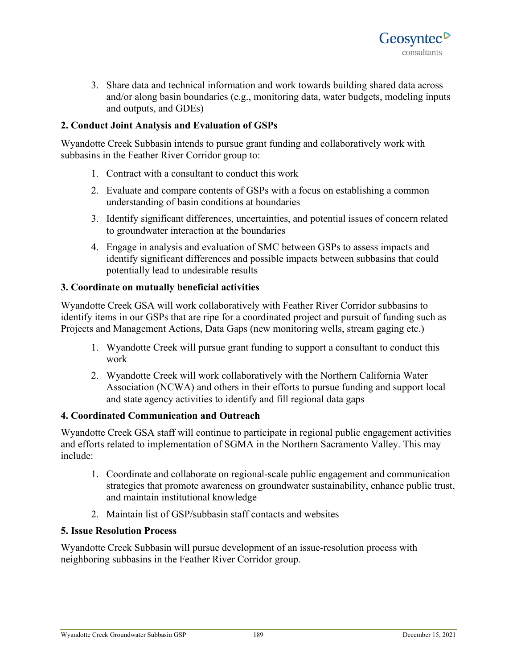

3. Share data and technical information and work towards building shared data across and/or along basin boundaries (e.g., monitoring data, water budgets, modeling inputs and outputs, and GDEs)

### **2. Conduct Joint Analysis and Evaluation of GSPs**

Wyandotte Creek Subbasin intends to pursue grant funding and collaboratively work with subbasins in the Feather River Corridor group to:

- 1. Contract with a consultant to conduct this work
- 2. Evaluate and compare contents of GSPs with a focus on establishing a common understanding of basin conditions at boundaries
- 3. Identify significant differences, uncertainties, and potential issues of concern related to groundwater interaction at the boundaries
- 4. Engage in analysis and evaluation of SMC between GSPs to assess impacts and identify significant differences and possible impacts between subbasins that could potentially lead to undesirable results

### **3. Coordinate on mutually beneficial activities**

Wyandotte Creek GSA will work collaboratively with Feather River Corridor subbasins to identify items in our GSPs that are ripe for a coordinated project and pursuit of funding such as Projects and Management Actions, Data Gaps (new monitoring wells, stream gaging etc.)

- 1. Wyandotte Creek will pursue grant funding to support a consultant to conduct this work
- 2. Wyandotte Creek will work collaboratively with the Northern California Water Association (NCWA) and others in their efforts to pursue funding and support local and state agency activities to identify and fill regional data gaps

#### **4. Coordinated Communication and Outreach**

Wyandotte Creek GSA staff will continue to participate in regional public engagement activities and efforts related to implementation of SGMA in the Northern Sacramento Valley. This may include:

- 1. Coordinate and collaborate on regional-scale public engagement and communication strategies that promote awareness on groundwater sustainability, enhance public trust, and maintain institutional knowledge
- 2. Maintain list of GSP/subbasin staff contacts and websites

#### **5. Issue Resolution Process**

Wyandotte Creek Subbasin will pursue development of an issue-resolution process with neighboring subbasins in the Feather River Corridor group.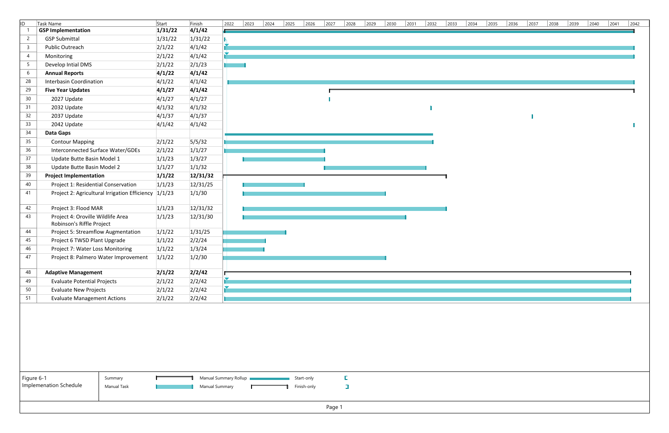| ID.<br>$\overline{2}$ | Task Name                                                      | Start   | Finish   | 2022 | $\vert$ 2023 | $\frac{2024}{ }$ | $\frac{2025}{ }$ | $\frac{2026}{ }$ | $\frac{2027}{ }$ | $\frac{2028}{ }$ | $\frac{2029}{ }$ | $\frac{2030}{ }$ | $\frac{2032}{ }$ | $\begin{array}{c c} \hline 2033 & 2034 \end{array}$ | $\frac{2035}{ }$ | $\boxed{2036}$ | $\frac{2037}{ }$ | 2038 2039 | $\frac{2040}{ }$ | $\boxed{2041}$ |
|-----------------------|----------------------------------------------------------------|---------|----------|------|--------------|------------------|------------------|------------------|------------------|------------------|------------------|------------------|------------------|-----------------------------------------------------|------------------|----------------|------------------|-----------|------------------|----------------|
|                       | <b>GSP Implementation</b>                                      | 1/31/22 | 4/1/42   |      |              |                  |                  |                  |                  |                  |                  |                  |                  |                                                     |                  |                |                  |           |                  |                |
|                       | <b>GSP Submittal</b>                                           | 1/31/22 | 1/31/22  |      |              |                  |                  |                  |                  |                  |                  |                  |                  |                                                     |                  |                |                  |           |                  |                |
| $\overline{3}$        | Public Outreach                                                | 2/1/22  | 4/1/42   |      |              |                  |                  |                  |                  |                  |                  |                  |                  |                                                     |                  |                |                  |           |                  |                |
| $\overline{4}$        | Monitoring                                                     | 2/1/22  | 4/1/42   |      |              |                  |                  |                  |                  |                  |                  |                  |                  |                                                     |                  |                |                  |           |                  |                |
| 5 <sub>5</sub>        | Develop Intial DMS                                             | 2/1/22  | 2/1/23   |      |              |                  |                  |                  |                  |                  |                  |                  |                  |                                                     |                  |                |                  |           |                  |                |
| 6                     | <b>Annual Reports</b>                                          | 4/1/22  | 4/1/42   |      |              |                  |                  |                  |                  |                  |                  |                  |                  |                                                     |                  |                |                  |           |                  |                |
| 28                    | <b>Interbasin Coordination</b>                                 | 4/1/22  | 4/1/42   |      |              |                  |                  |                  |                  |                  |                  |                  |                  |                                                     |                  |                |                  |           |                  |                |
| 29                    | <b>Five Year Updates</b>                                       | 4/1/27  | 4/1/42   |      |              |                  |                  |                  |                  |                  |                  |                  |                  |                                                     |                  |                |                  |           |                  |                |
| 30 <sup>°</sup>       | 2027 Update                                                    | 4/1/27  | 4/1/27   |      |              |                  |                  |                  |                  |                  |                  |                  |                  |                                                     |                  |                |                  |           |                  |                |
| 31                    | 2032 Update                                                    | 4/1/32  | 4/1/32   |      |              |                  |                  |                  |                  |                  |                  |                  |                  |                                                     |                  |                |                  |           |                  |                |
| 32                    | 2037 Update                                                    | 4/1/37  | 4/1/37   |      |              |                  |                  |                  |                  |                  |                  |                  |                  |                                                     |                  |                |                  |           |                  |                |
| 33                    | 2042 Update                                                    | 4/1/42  | 4/1/42   |      |              |                  |                  |                  |                  |                  |                  |                  |                  |                                                     |                  |                |                  |           |                  |                |
| 34                    | <b>Data Gaps</b>                                               |         |          |      |              |                  |                  |                  |                  |                  |                  |                  |                  |                                                     |                  |                |                  |           |                  |                |
| 35                    | <b>Contour Mapping</b>                                         | 2/1/22  | 5/5/32   |      |              |                  |                  |                  |                  |                  |                  |                  |                  |                                                     |                  |                |                  |           |                  |                |
| 36                    | Interconnected Surface Water/GDEs                              | 2/1/22  | 1/1/27   |      |              |                  |                  |                  |                  |                  |                  |                  |                  |                                                     |                  |                |                  |           |                  |                |
| 37                    | Update Butte Basin Model 1                                     | 1/1/23  | 1/3/27   |      |              |                  |                  |                  |                  |                  |                  |                  |                  |                                                     |                  |                |                  |           |                  |                |
| 38                    | Update Butte Basin Model 2                                     | 1/1/27  | 1/1/32   |      |              |                  |                  |                  |                  |                  |                  |                  |                  |                                                     |                  |                |                  |           |                  |                |
| 39                    | <b>Project Implementation</b>                                  | 1/1/22  | 12/31/32 |      |              |                  |                  |                  |                  |                  |                  |                  |                  |                                                     |                  |                |                  |           |                  |                |
| 40                    | Project 1: Residential Conservation                            | 1/1/23  | 12/31/25 |      |              |                  |                  |                  |                  |                  |                  |                  |                  |                                                     |                  |                |                  |           |                  |                |
| 41                    | Project 2: Agricultural Irrigation Efficiency 1/1/23           |         | 1/1/30   |      |              |                  |                  |                  |                  |                  |                  |                  |                  |                                                     |                  |                |                  |           |                  |                |
| 42                    | Project 3: Flood MAR                                           | 1/1/23  | 12/31/32 |      |              |                  |                  |                  |                  |                  |                  |                  |                  |                                                     |                  |                |                  |           |                  |                |
| 43                    | Project 4: Oroville Wildlife Area<br>Robinson's Riffle Project | 1/1/23  | 12/31/30 |      |              |                  |                  |                  |                  |                  |                  |                  |                  |                                                     |                  |                |                  |           |                  |                |
| 44                    | <b>Project 5: Streamflow Augmentation</b>                      | 1/1/22  | 1/31/25  |      |              |                  |                  |                  |                  |                  |                  |                  |                  |                                                     |                  |                |                  |           |                  |                |
| 45                    | Project 6 TWSD Plant Upgrade                                   | 1/1/22  | 2/2/24   |      |              |                  |                  |                  |                  |                  |                  |                  |                  |                                                     |                  |                |                  |           |                  |                |
| 46                    | Project 7: Water Loss Monitoring                               | 1/1/22  | 1/3/24   |      |              |                  |                  |                  |                  |                  |                  |                  |                  |                                                     |                  |                |                  |           |                  |                |
| 47                    | Project 8: Palmero Water Improvement                           | 1/1/22  | 1/2/30   |      |              |                  |                  |                  |                  |                  |                  |                  |                  |                                                     |                  |                |                  |           |                  |                |
| 48                    | <b>Adaptive Management</b>                                     | 2/1/22  | 2/2/42   |      |              |                  |                  |                  |                  |                  |                  |                  |                  |                                                     |                  |                |                  |           |                  |                |
| 49                    | <b>Evaluate Potential Projects</b>                             | 2/1/22  | 2/2/42   |      |              |                  |                  |                  |                  |                  |                  |                  |                  |                                                     |                  |                |                  |           |                  |                |
| 50                    | <b>Evaluate New Projects</b>                                   | 2/1/22  | 2/2/42   |      |              |                  |                  |                  |                  |                  |                  |                  |                  |                                                     |                  |                |                  |           |                  |                |
| 51                    | <b>Evaluate Management Actions</b>                             | 2/1/22  | 2/2/42   |      |              |                  |                  |                  |                  |                  |                  |                  |                  |                                                     |                  |                |                  |           |                  |                |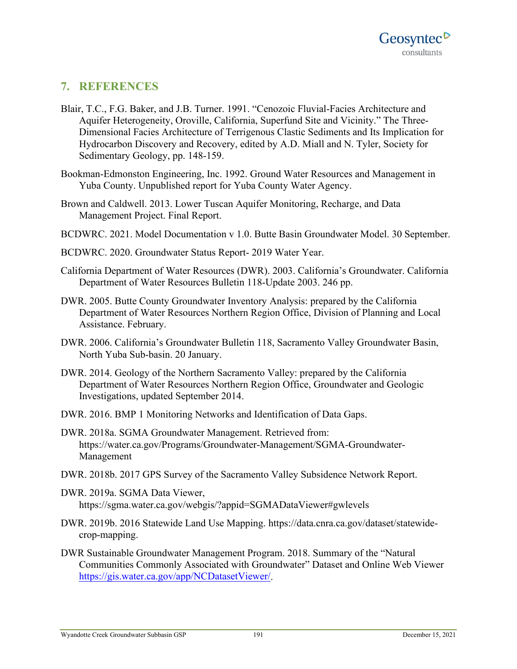## **7. REFERENCES**

- Blair, T.C., F.G. Baker, and J.B. Turner. 1991. "Cenozoic Fluvial-Facies Architecture and Aquifer Heterogeneity, Oroville, California, Superfund Site and Vicinity." The Three-Dimensional Facies Architecture of Terrigenous Clastic Sediments and Its Implication for Hydrocarbon Discovery and Recovery, edited by A.D. Miall and N. Tyler, Society for Sedimentary Geology, pp. 148-159.
- Bookman-Edmonston Engineering, Inc. 1992. Ground Water Resources and Management in Yuba County. Unpublished report for Yuba County Water Agency.
- Brown and Caldwell. 2013. Lower Tuscan Aquifer Monitoring, Recharge, and Data Management Project. Final Report.
- BCDWRC. 2021. Model Documentation v 1.0. Butte Basin Groundwater Model. 30 September.
- BCDWRC. 2020. Groundwater Status Report- 2019 Water Year.
- California Department of Water Resources (DWR). 2003. California's Groundwater. California Department of Water Resources Bulletin 118-Update 2003. 246 pp.
- DWR. 2005. Butte County Groundwater Inventory Analysis: prepared by the California Department of Water Resources Northern Region Office, Division of Planning and Local Assistance. February.
- DWR. 2006. California's Groundwater Bulletin 118, Sacramento Valley Groundwater Basin, North Yuba Sub-basin. 20 January.
- DWR. 2014. Geology of the Northern Sacramento Valley: prepared by the California Department of Water Resources Northern Region Office, Groundwater and Geologic Investigations, updated September 2014.
- DWR. 2016. BMP 1 Monitoring Networks and Identification of Data Gaps.
- DWR. 2018a. SGMA Groundwater Management. Retrieved from: https://water.ca.gov/Programs/Groundwater-Management/SGMA-Groundwater-Management
- DWR. 2018b. 2017 GPS Survey of the Sacramento Valley Subsidence Network Report.
- DWR. 2019a. SGMA Data Viewer, https://sgma.water.ca.gov/webgis/?appid=SGMADataViewer#gwlevels
- DWR. 2019b. 2016 Statewide Land Use Mapping. https://data.cnra.ca.gov/dataset/statewidecrop-mapping.
- DWR Sustainable Groundwater Management Program. 2018. Summary of the "Natural Communities Commonly Associated with Groundwater" Dataset and Online Web Viewer [https://gis.water.ca.gov/app/NCDatasetViewer/.](https://gis.water.ca.gov/app/NCDatasetViewer/)

#### Wyandotte Creek Groundwater Subbasin GSP 191 191 December 15, 2021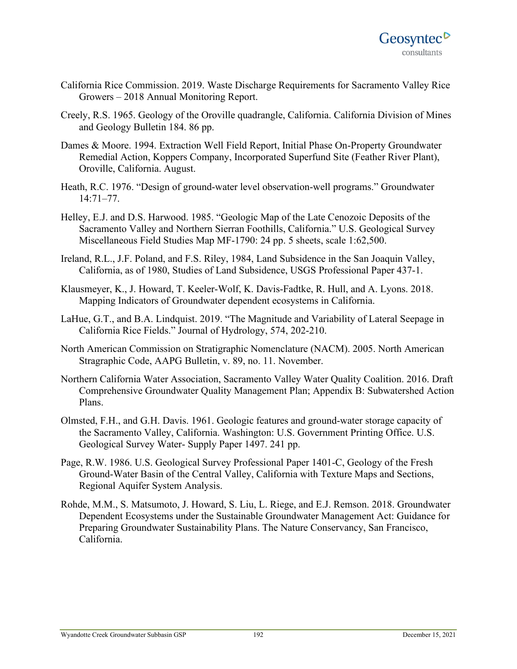- California Rice Commission. 2019. Waste Discharge Requirements for Sacramento Valley Rice Growers – 2018 Annual Monitoring Report.
- Creely, R.S. 1965. Geology of the Oroville quadrangle, California. California Division of Mines and Geology Bulletin 184. 86 pp.
- Dames & Moore. 1994. Extraction Well Field Report, Initial Phase On-Property Groundwater Remedial Action, Koppers Company, Incorporated Superfund Site (Feather River Plant), Oroville, California. August.
- Heath, R.C. 1976. "Design of ground-water level observation-well programs." Groundwater 14:71–77.
- Helley, E.J. and D.S. Harwood. 1985. "Geologic Map of the Late Cenozoic Deposits of the Sacramento Valley and Northern Sierran Foothills, California." U.S. Geological Survey Miscellaneous Field Studies Map MF-1790: 24 pp. 5 sheets, scale 1:62,500.
- Ireland, R.L., J.F. Poland, and F.S. Riley, 1984, Land Subsidence in the San Joaquin Valley, California, as of 1980, Studies of Land Subsidence, USGS Professional Paper 437-1.
- Klausmeyer, K., J. Howard, T. Keeler-Wolf, K. Davis-Fadtke, R. Hull, and A. Lyons. 2018. Mapping Indicators of Groundwater dependent ecosystems in California.
- LaHue, G.T., and B.A. Lindquist. 2019. "The Magnitude and Variability of Lateral Seepage in California Rice Fields." Journal of Hydrology, 574, 202-210.
- North American Commission on Stratigraphic Nomenclature (NACM). 2005. North American Stragraphic Code, AAPG Bulletin, v. 89, no. 11. November.
- Northern California Water Association, Sacramento Valley Water Quality Coalition. 2016. Draft Comprehensive Groundwater Quality Management Plan; Appendix B: Subwatershed Action Plans.
- Olmsted, F.H., and G.H. Davis. 1961. Geologic features and ground-water storage capacity of the Sacramento Valley, California. Washington: U.S. Government Printing Office. U.S. Geological Survey Water- Supply Paper 1497. 241 pp.
- Page, R.W. 1986. U.S. Geological Survey Professional Paper 1401-C, Geology of the Fresh Ground-Water Basin of the Central Valley, California with Texture Maps and Sections, Regional Aquifer System Analysis.
- Rohde, M.M., S. Matsumoto, J. Howard, S. Liu, L. Riege, and E.J. Remson. 2018. Groundwater Dependent Ecosystems under the Sustainable Groundwater Management Act: Guidance for Preparing Groundwater Sustainability Plans. The Nature Conservancy, San Francisco, California.